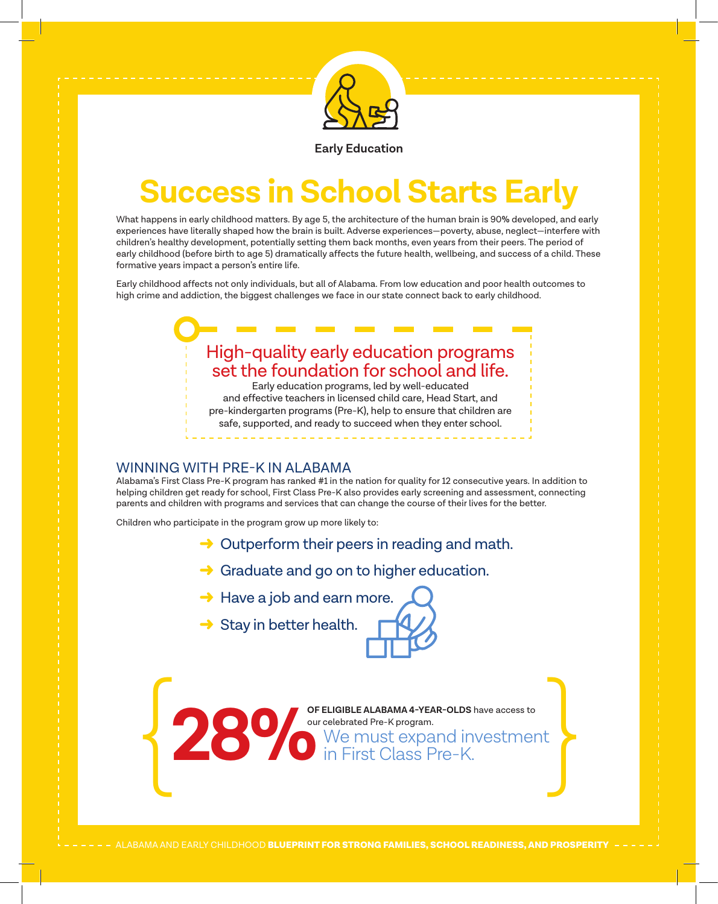

**Early Education**

# **Success in School Starts Early**

What happens in early childhood matters. By age 5, the architecture of the human brain is 90% developed, and early experiences have literally shaped how the brain is built. Adverse experiences—poverty, abuse, neglect—interfere with children's healthy development, potentially setting them back months, even years from their peers. The period of early childhood (before birth to age 5) dramatically affects the future health, wellbeing, and success of a child. These formative years impact a person's entire life.

Early childhood affects not only individuals, but all of Alabama. From low education and poor health outcomes to high crime and addiction, the biggest challenges we face in our state connect back to early childhood.

## High-quality early education programs set the foundation for school and life.

Early education programs, led by well-educated and effective teachers in licensed child care, Head Start, and pre-kindergarten programs (Pre-K), help to ensure that children are safe, supported, and ready to succeed when they enter school.

#### WINNING WITH PRE-K IN ALABAMA

Alabama's First Class Pre-K program has ranked #1 in the nation for quality for 12 consecutive years. In addition to helping children get ready for school, First Class Pre-K also provides early screening and assessment, connecting parents and children with programs and services that can change the course of their lives for the better.

Children who participate in the program grow up more likely to:

- $\rightarrow$  Outperform their peers in reading and math.
- $\rightarrow$  Graduate and go on to higher education.
- $\rightarrow$  Have a job and earn more.
- $\rightarrow$  Stay in better health.

**OF ELIGIBLE ALABAMA 4-YEAR-OLDS** have access to OF ELIGIBLE ALABAMA 4-YEAR-OLDS have access to our celebrated Pre-K program.<br>
We must expand investment in First Class Pre-K.

ALABAMA AND EARLY CHILDHOOD **BLUEPRINT FOR STRONG FAMILIES, SCHOOL READINESS, AND PROSPERITY**